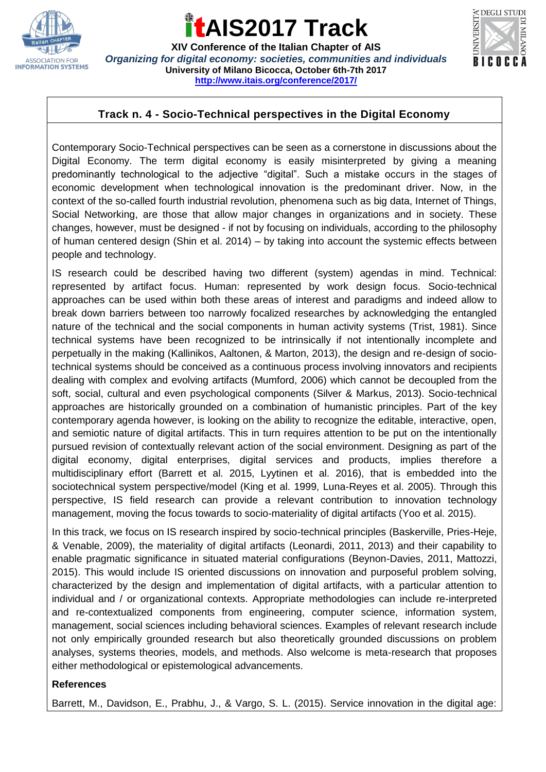

### **AIS2017 Track**

**XIV Conference of the Italian Chapter of AIS** *Organizing for digital economy: societies, communities and individuals* **University of Milano Bicocca, October 6th-7th 2017 <http://www.itais.org/conference/2017/>**



#### **Track n. 4 - Socio-Technical perspectives in the Digital Economy**

Contemporary Socio-Technical perspectives can be seen as a cornerstone in discussions about the Digital Economy. The term digital economy is easily misinterpreted by giving a meaning predominantly technological to the adjective "digital". Such a mistake occurs in the stages of economic development when technological innovation is the predominant driver. Now, in the context of the so-called fourth industrial revolution, phenomena such as big data, Internet of Things, Social Networking, are those that allow major changes in organizations and in society. These changes, however, must be designed - if not by focusing on individuals, according to the philosophy of human centered design (Shin et al. 2014) – by taking into account the systemic effects between people and technology.

IS research could be described having two different (system) agendas in mind. Technical: represented by artifact focus. Human: represented by work design focus. Socio-technical approaches can be used within both these areas of interest and paradigms and indeed allow to break down barriers between too narrowly focalized researches by acknowledging the entangled nature of the technical and the social components in human activity systems (Trist, 1981). Since technical systems have been recognized to be intrinsically if not intentionally incomplete and perpetually in the making (Kallinikos, Aaltonen, & Marton, 2013), the design and re-design of sociotechnical systems should be conceived as a continuous process involving innovators and recipients dealing with complex and evolving artifacts (Mumford, 2006) which cannot be decoupled from the soft, social, cultural and even psychological components (Silver & Markus, 2013). Socio-technical approaches are historically grounded on a combination of humanistic principles. Part of the key contemporary agenda however, is looking on the ability to recognize the editable, interactive, open, and semiotic nature of digital artifacts. This in turn requires attention to be put on the intentionally pursued revision of contextually relevant action of the social environment. Designing as part of the digital economy, digital enterprises, digital services and products, implies therefore a multidisciplinary effort (Barrett et al. 2015, Lyytinen et al. 2016), that is embedded into the sociotechnical system perspective/model (King et al. 1999, Luna-Reyes et al. 2005). Through this perspective, IS field research can provide a relevant contribution to innovation technology management, moving the focus towards to socio-materiality of digital artifacts (Yoo et al. 2015).

In this track, we focus on IS research inspired by socio-technical principles (Baskerville, Pries-Heje, & Venable, 2009), the materiality of digital artifacts (Leonardi, 2011, 2013) and their capability to enable pragmatic significance in situated material configurations (Beynon-Davies, 2011, Mattozzi, 2015). This would include IS oriented discussions on innovation and purposeful problem solving, characterized by the design and implementation of digital artifacts, with a particular attention to individual and / or organizational contexts. Appropriate methodologies can include re-interpreted and re-contextualized components from engineering, computer science, information system, management, social sciences including behavioral sciences. Examples of relevant research include not only empirically grounded research but also theoretically grounded discussions on problem analyses, systems theories, models, and methods. Also welcome is meta-research that proposes either methodological or epistemological advancements.

#### **References**

Barrett, M., Davidson, E., Prabhu, J., & Vargo, S. L. (2015). Service innovation in the digital age: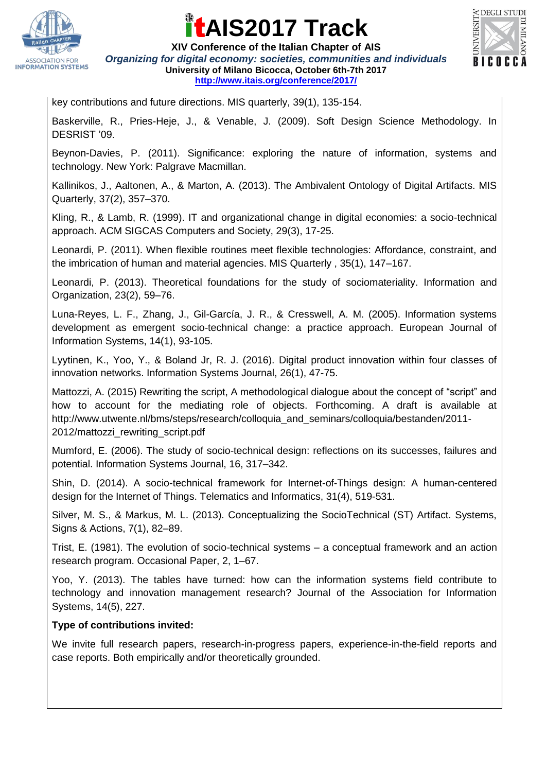

# **AIS2017 Track**



**XIV Conference of the Italian Chapter of AIS** *Organizing for digital economy: societies, communities and individuals* **University of Milano Bicocca, October 6th-7th 2017 <http://www.itais.org/conference/2017/>**

key contributions and future directions. MIS quarterly, 39(1), 135-154.

Baskerville, R., Pries-Heje, J., & Venable, J. (2009). Soft Design Science Methodology. In DESRIST '09.

Beynon-Davies, P. (2011). Significance: exploring the nature of information, systems and technology. New York: Palgrave Macmillan.

Kallinikos, J., Aaltonen, A., & Marton, A. (2013). The Ambivalent Ontology of Digital Artifacts. MIS Quarterly, 37(2), 357–370.

Kling, R., & Lamb, R. (1999). IT and organizational change in digital economies: a socio-technical approach. ACM SIGCAS Computers and Society, 29(3), 17-25.

Leonardi, P. (2011). When flexible routines meet flexible technologies: Affordance, constraint, and the imbrication of human and material agencies. MIS Quarterly , 35(1), 147–167.

Leonardi, P. (2013). Theoretical foundations for the study of sociomateriality. Information and Organization, 23(2), 59–76.

Luna-Reyes, L. F., Zhang, J., Gil-García, J. R., & Cresswell, A. M. (2005). Information systems development as emergent socio-technical change: a practice approach. European Journal of Information Systems, 14(1), 93-105.

Lyytinen, K., Yoo, Y., & Boland Jr, R. J. (2016). Digital product innovation within four classes of innovation networks. Information Systems Journal, 26(1), 47-75.

Mattozzi, A. (2015) Rewriting the script, A methodological dialogue about the concept of "script" and how to account for the mediating role of objects. Forthcoming. A draft is available at http://www.utwente.nl/bms/steps/research/colloquia\_and\_seminars/colloquia/bestanden/2011-2012/mattozzi\_rewriting\_script.pdf

Mumford, E. (2006). The study of socio-technical design: reflections on its successes, failures and potential. Information Systems Journal, 16, 317–342.

Shin, D. (2014). A socio-technical framework for Internet-of-Things design: A human-centered design for the Internet of Things. Telematics and Informatics, 31(4), 519-531.

Silver, M. S., & Markus, M. L. (2013). Conceptualizing the SocioTechnical (ST) Artifact. Systems, Signs & Actions, 7(1), 82–89.

Trist, E. (1981). The evolution of socio-technical systems – a conceptual framework and an action research program. Occasional Paper, 2, 1–67.

Yoo, Y. (2013). The tables have turned: how can the information systems field contribute to technology and innovation management research? Journal of the Association for Information Systems, 14(5), 227.

#### **Type of contributions invited:**

We invite full research papers, research-in-progress papers, experience-in-the-field reports and case reports. Both empirically and/or theoretically grounded.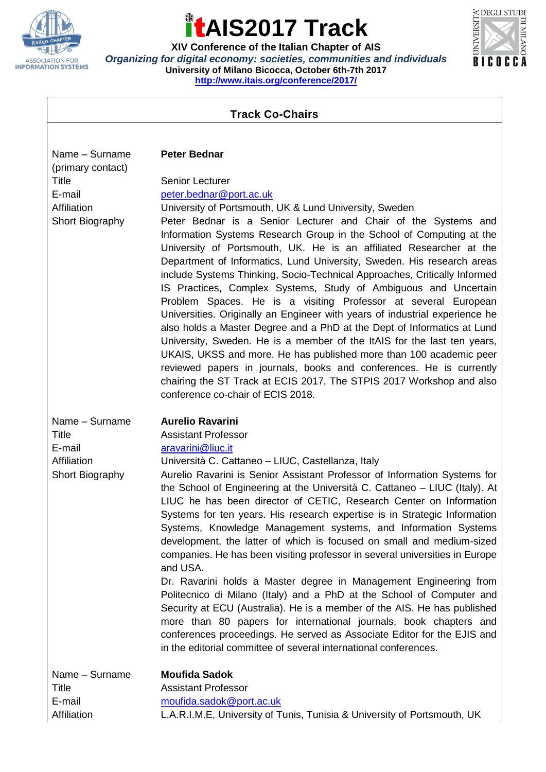

### $\bigoplus$ **AIS2017 Track**

**XIV Conference of the Italian Chapter of AIS** *Organizing for digital economy: societies, communities and individuals* **University of Milano Bicocca, October 6th-7th 2017 <http://www.itais.org/conference/2017/>**



 $\overline{\phantom{a}}$ 

| <b>Track Co-Chairs</b>                                                                          |                                                                                                                                                                                                                                                                                                                                                                                                                                                                                                                                                                                                                                                                                                                                                                                                                                                                                                                                                                                                                                                                                                                                                |
|-------------------------------------------------------------------------------------------------|------------------------------------------------------------------------------------------------------------------------------------------------------------------------------------------------------------------------------------------------------------------------------------------------------------------------------------------------------------------------------------------------------------------------------------------------------------------------------------------------------------------------------------------------------------------------------------------------------------------------------------------------------------------------------------------------------------------------------------------------------------------------------------------------------------------------------------------------------------------------------------------------------------------------------------------------------------------------------------------------------------------------------------------------------------------------------------------------------------------------------------------------|
|                                                                                                 |                                                                                                                                                                                                                                                                                                                                                                                                                                                                                                                                                                                                                                                                                                                                                                                                                                                                                                                                                                                                                                                                                                                                                |
| Name - Surname<br>(primary contact)<br><b>Title</b><br>E-mail<br>Affiliation<br>Short Biography | <b>Peter Bednar</b><br><b>Senior Lecturer</b><br>peter.bednar@port.ac.uk<br>University of Portsmouth, UK & Lund University, Sweden<br>Peter Bednar is a Senior Lecturer and Chair of the Systems and<br>Information Systems Research Group in the School of Computing at the<br>University of Portsmouth, UK. He is an affiliated Researcher at the<br>Department of Informatics, Lund University, Sweden. His research areas<br>include Systems Thinking, Socio-Technical Approaches, Critically Informed<br>IS Practices, Complex Systems, Study of Ambiguous and Uncertain<br>Problem Spaces. He is a visiting Professor at several European<br>Universities. Originally an Engineer with years of industrial experience he<br>also holds a Master Degree and a PhD at the Dept of Informatics at Lund<br>University, Sweden. He is a member of the ItAIS for the last ten years,<br>UKAIS, UKSS and more. He has published more than 100 academic peer<br>reviewed papers in journals, books and conferences. He is currently<br>chairing the ST Track at ECIS 2017, The STPIS 2017 Workshop and also<br>conference co-chair of ECIS 2018. |
| Name - Surname<br><b>Title</b><br>E-mail<br>Affiliation<br>Short Biography                      | <b>Aurelio Ravarini</b><br><b>Assistant Professor</b><br>aravarini@liuc.it<br>Università C. Cattaneo - LIUC, Castellanza, Italy<br>Aurelio Ravarini is Senior Assistant Professor of Information Systems for<br>the School of Engineering at the Università C. Cattaneo – LIUC (Italy). At<br>LIUC he has been director of CETIC, Research Center on Information<br>Systems for ten years. His research expertise is in Strategic Information<br>Systems, Knowledge Management systems, and Information Systems<br>development, the latter of which is focused on small and medium-sized<br>companies. He has been visiting professor in several universities in Europe<br>and USA.<br>Dr. Ravarini holds a Master degree in Management Engineering from<br>Politecnico di Milano (Italy) and a PhD at the School of Computer and<br>Security at ECU (Australia). He is a member of the AIS. He has published<br>more than 80 papers for international journals, book chapters and<br>conferences proceedings. He served as Associate Editor for the EJIS and<br>in the editorial committee of several international conferences.              |
| Name - Surname<br><b>Title</b><br>E-mail<br>Affiliation                                         | <b>Moufida Sadok</b><br><b>Assistant Professor</b><br>moufida.sadok@port.ac.uk<br>L.A.R.I.M.E, University of Tunis, Tunisia & University of Portsmouth, UK                                                                                                                                                                                                                                                                                                                                                                                                                                                                                                                                                                                                                                                                                                                                                                                                                                                                                                                                                                                     |